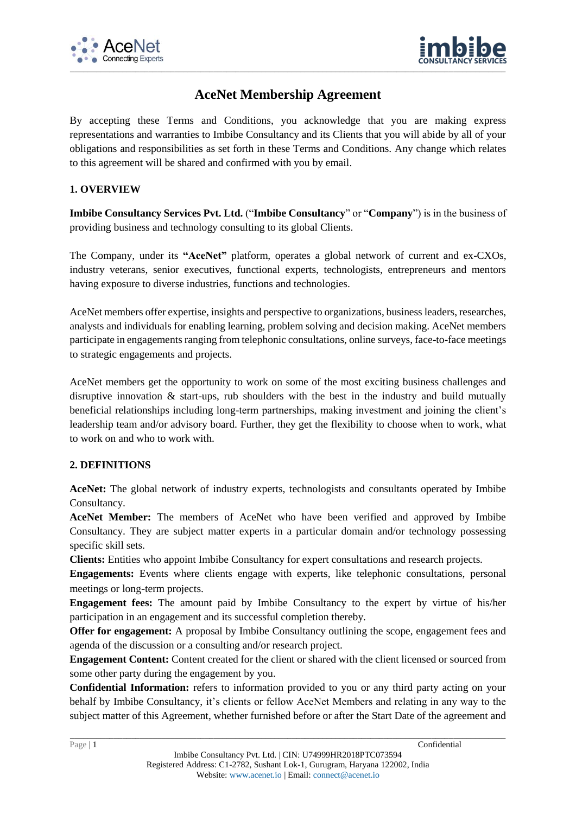



# **AceNet Membership Agreement**

By accepting these Terms and Conditions, you acknowledge that you are making express representations and warranties to Imbibe Consultancy and its Clients that you will abide by all of your obligations and responsibilities as set forth in these Terms and Conditions. Any change which relates to this agreement will be shared and confirmed with you by email.

## **1. OVERVIEW**

**Imbibe Consultancy Services Pvt. Ltd.** ("**Imbibe Consultancy**" or "**Company**") is in the business of providing business and technology consulting to its global Clients.

The Company, under its **"AceNet"** platform, operates a global network of current and ex-CXOs, industry veterans, senior executives, functional experts, technologists, entrepreneurs and mentors having exposure to diverse industries, functions and technologies.

AceNet members offer expertise, insights and perspective to organizations, business leaders, researches, analysts and individuals for enabling learning, problem solving and decision making. AceNet members participate in engagements ranging from telephonic consultations, online surveys, face-to-face meetings to strategic engagements and projects.

AceNet members get the opportunity to work on some of the most exciting business challenges and disruptive innovation & start-ups, rub shoulders with the best in the industry and build mutually beneficial relationships including long-term partnerships, making investment and joining the client's leadership team and/or advisory board. Further, they get the flexibility to choose when to work, what to work on and who to work with.

### **2. DEFINITIONS**

**AceNet:** The global network of industry experts, technologists and consultants operated by Imbibe Consultancy.

**AceNet Member:** The members of AceNet who have been verified and approved by Imbibe Consultancy. They are subject matter experts in a particular domain and/or technology possessing specific skill sets.

**Clients:** Entities who appoint Imbibe Consultancy for expert consultations and research projects.

**Engagements:** Events where clients engage with experts, like telephonic consultations, personal meetings or long-term projects.

**Engagement fees:** The amount paid by Imbibe Consultancy to the expert by virtue of his/her participation in an engagement and its successful completion thereby.

**Offer for engagement:** A proposal by Imbibe Consultancy outlining the scope, engagement fees and agenda of the discussion or a consulting and/or research project.

**Engagement Content:** Content created for the client or shared with the client licensed or sourced from some other party during the engagement by you.

**Confidential Information:** refers to information provided to you or any third party acting on your behalf by Imbibe Consultancy, it's clients or fellow AceNet Members and relating in any way to the subject matter of this Agreement, whether furnished before or after the Start Date of the agreement and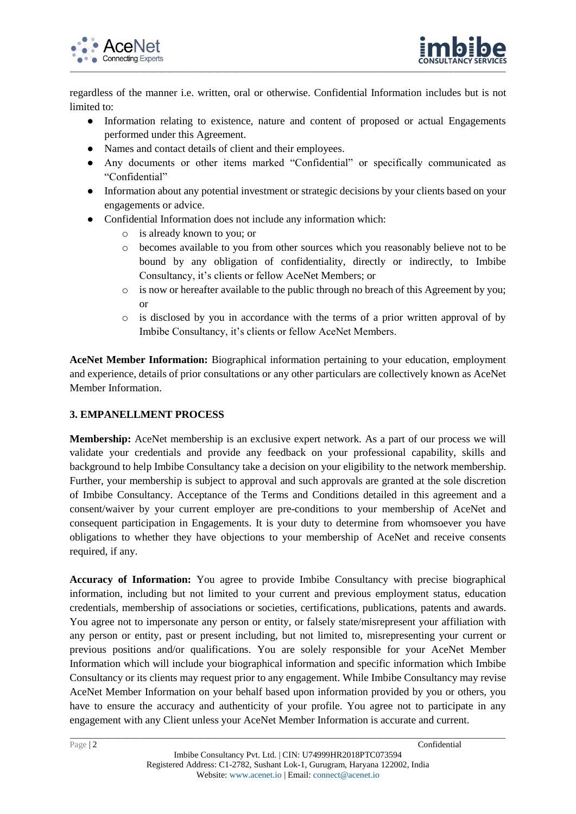



regardless of the manner i.e. written, oral or otherwise. Confidential Information includes but is not limited to:

- Information relating to existence, nature and content of proposed or actual Engagements performed under this Agreement.
- Names and contact details of client and their employees.
- Any documents or other items marked "Confidential" or specifically communicated as "Confidential"
- Information about any potential investment or strategic decisions by your clients based on your engagements or advice.
- Confidential Information does not include any information which:
	- o is already known to you; or
	- o becomes available to you from other sources which you reasonably believe not to be bound by any obligation of confidentiality, directly or indirectly, to Imbibe Consultancy, it's clients or fellow AceNet Members; or
	- o is now or hereafter available to the public through no breach of this Agreement by you; or
	- o is disclosed by you in accordance with the terms of a prior written approval of by Imbibe Consultancy, it's clients or fellow AceNet Members.

**AceNet Member Information:** Biographical information pertaining to your education, employment and experience, details of prior consultations or any other particulars are collectively known as AceNet Member Information.

### **3. EMPANELLMENT PROCESS**

**Membership:** AceNet membership is an exclusive expert network. As a part of our process we will validate your credentials and provide any feedback on your professional capability, skills and background to help Imbibe Consultancy take a decision on your eligibility to the network membership. Further, your membership is subject to approval and such approvals are granted at the sole discretion of Imbibe Consultancy. Acceptance of the Terms and Conditions detailed in this agreement and a consent/waiver by your current employer are pre-conditions to your membership of AceNet and consequent participation in Engagements. It is your duty to determine from whomsoever you have obligations to whether they have objections to your membership of AceNet and receive consents required, if any.

**Accuracy of Information:** You agree to provide Imbibe Consultancy with precise biographical information, including but not limited to your current and previous employment status, education credentials, membership of associations or societies, certifications, publications, patents and awards. You agree not to impersonate any person or entity, or falsely state/misrepresent your affiliation with any person or entity, past or present including, but not limited to, misrepresenting your current or previous positions and/or qualifications. You are solely responsible for your AceNet Member Information which will include your biographical information and specific information which Imbibe Consultancy or its clients may request prior to any engagement. While Imbibe Consultancy may revise AceNet Member Information on your behalf based upon information provided by you or others, you have to ensure the accuracy and authenticity of your profile. You agree not to participate in any engagement with any Client unless your AceNet Member Information is accurate and current.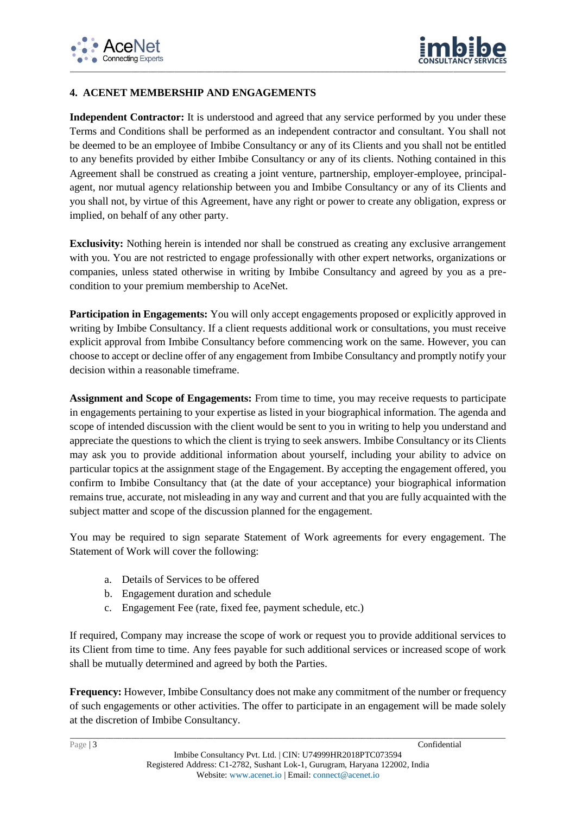



## **4. ACENET MEMBERSHIP AND ENGAGEMENTS**

Independent Contractor: It is understood and agreed that any service performed by you under these Terms and Conditions shall be performed as an independent contractor and consultant. You shall not be deemed to be an employee of Imbibe Consultancy or any of its Clients and you shall not be entitled to any benefits provided by either Imbibe Consultancy or any of its clients. Nothing contained in this Agreement shall be construed as creating a joint venture, partnership, employer-employee, principalagent, nor mutual agency relationship between you and Imbibe Consultancy or any of its Clients and you shall not, by virtue of this Agreement, have any right or power to create any obligation, express or implied, on behalf of any other party.

**Exclusivity:** Nothing herein is intended nor shall be construed as creating any exclusive arrangement with you. You are not restricted to engage professionally with other expert networks, organizations or companies, unless stated otherwise in writing by Imbibe Consultancy and agreed by you as a precondition to your premium membership to AceNet.

Participation in Engagements: You will only accept engagements proposed or explicitly approved in writing by Imbibe Consultancy. If a client requests additional work or consultations, you must receive explicit approval from Imbibe Consultancy before commencing work on the same. However, you can choose to accept or decline offer of any engagement from Imbibe Consultancy and promptly notify your decision within a reasonable timeframe.

**Assignment and Scope of Engagements:** From time to time, you may receive requests to participate in engagements pertaining to your expertise as listed in your biographical information. The agenda and scope of intended discussion with the client would be sent to you in writing to help you understand and appreciate the questions to which the client is trying to seek answers. Imbibe Consultancy or its Clients may ask you to provide additional information about yourself, including your ability to advice on particular topics at the assignment stage of the Engagement. By accepting the engagement offered, you confirm to Imbibe Consultancy that (at the date of your acceptance) your biographical information remains true, accurate, not misleading in any way and current and that you are fully acquainted with the subject matter and scope of the discussion planned for the engagement.

You may be required to sign separate Statement of Work agreements for every engagement. The Statement of Work will cover the following:

- a. Details of Services to be offered
- b. Engagement duration and schedule
- c. Engagement Fee (rate, fixed fee, payment schedule, etc.)

If required, Company may increase the scope of work or request you to provide additional services to its Client from time to time. Any fees payable for such additional services or increased scope of work shall be mutually determined and agreed by both the Parties.

**Frequency:** However, Imbibe Consultancy does not make any commitment of the number or frequency of such engagements or other activities. The offer to participate in an engagement will be made solely at the discretion of Imbibe Consultancy.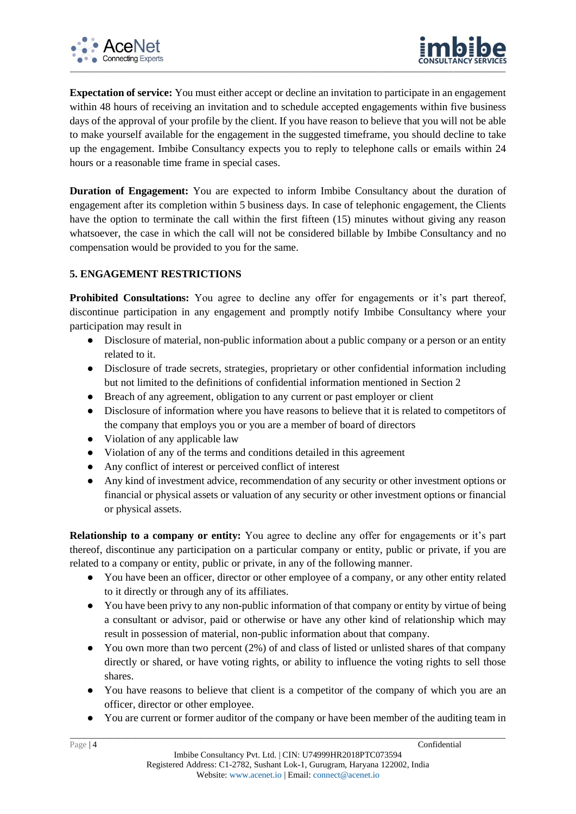



**Expectation of service:** You must either accept or decline an invitation to participate in an engagement within 48 hours of receiving an invitation and to schedule accepted engagements within five business days of the approval of your profile by the client. If you have reason to believe that you will not be able to make yourself available for the engagement in the suggested timeframe, you should decline to take up the engagement. Imbibe Consultancy expects you to reply to telephone calls or emails within 24 hours or a reasonable time frame in special cases.

**Duration of Engagement:** You are expected to inform Imbibe Consultancy about the duration of engagement after its completion within 5 business days. In case of telephonic engagement, the Clients have the option to terminate the call within the first fifteen (15) minutes without giving any reason whatsoever, the case in which the call will not be considered billable by Imbibe Consultancy and no compensation would be provided to you for the same.

### **5. ENGAGEMENT RESTRICTIONS**

**Prohibited Consultations:** You agree to decline any offer for engagements or it's part thereof, discontinue participation in any engagement and promptly notify Imbibe Consultancy where your participation may result in

- Disclosure of material, non-public information about a public company or a person or an entity related to it.
- Disclosure of trade secrets, strategies, proprietary or other confidential information including but not limited to the definitions of confidential information mentioned in Section 2
- Breach of any agreement, obligation to any current or past employer or client
- Disclosure of information where you have reasons to believe that it is related to competitors of the company that employs you or you are a member of board of directors
- Violation of any applicable law
- Violation of any of the terms and conditions detailed in this agreement
- Any conflict of interest or perceived conflict of interest
- Any kind of investment advice, recommendation of any security or other investment options or financial or physical assets or valuation of any security or other investment options or financial or physical assets.

**Relationship to a company or entity:** You agree to decline any offer for engagements or it's part thereof, discontinue any participation on a particular company or entity, public or private, if you are related to a company or entity, public or private, in any of the following manner.

- You have been an officer, director or other employee of a company, or any other entity related to it directly or through any of its affiliates.
- You have been privy to any non-public information of that company or entity by virtue of being a consultant or advisor, paid or otherwise or have any other kind of relationship which may result in possession of material, non-public information about that company.
- You own more than two percent (2%) of and class of listed or unlisted shares of that company directly or shared, or have voting rights, or ability to influence the voting rights to sell those shares.
- You have reasons to believe that client is a competitor of the company of which you are an officer, director or other employee.
- You are current or former auditor of the company or have been member of the auditing team in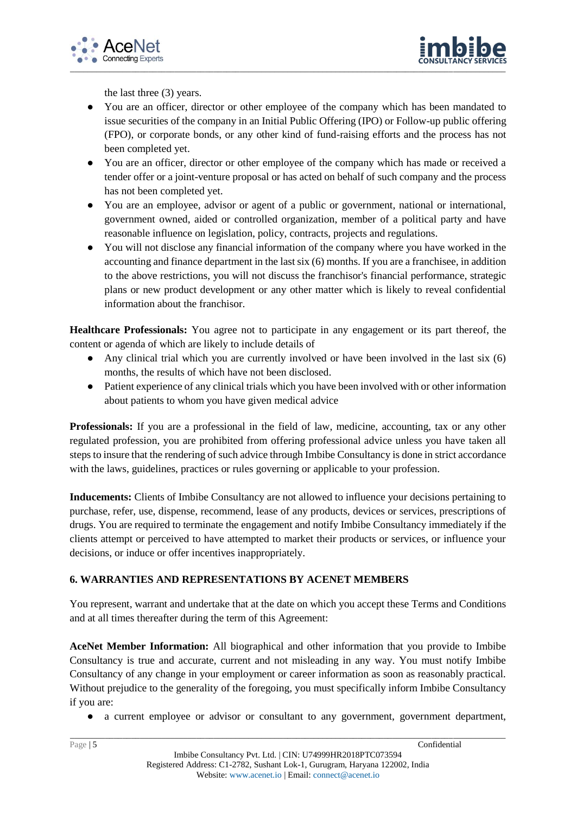



the last three (3) years.

- You are an officer, director or other employee of the company which has been mandated to issue securities of the company in an Initial Public Offering (IPO) or Follow-up public offering (FPO), or corporate bonds, or any other kind of fund-raising efforts and the process has not been completed yet.
- You are an officer, director or other employee of the company which has made or received a tender offer or a joint-venture proposal or has acted on behalf of such company and the process has not been completed yet.
- You are an employee, advisor or agent of a public or government, national or international, government owned, aided or controlled organization, member of a political party and have reasonable influence on legislation, policy, contracts, projects and regulations.
- You will not disclose any financial information of the company where you have worked in the accounting and finance department in the last six (6) months. If you are a franchisee, in addition to the above restrictions, you will not discuss the franchisor's financial performance, strategic plans or new product development or any other matter which is likely to reveal confidential information about the franchisor.

**Healthcare Professionals:** You agree not to participate in any engagement or its part thereof, the content or agenda of which are likely to include details of

- Any clinical trial which you are currently involved or have been involved in the last six  $(6)$ months, the results of which have not been disclosed.
- Patient experience of any clinical trials which you have been involved with or other information about patients to whom you have given medical advice

**Professionals:** If you are a professional in the field of law, medicine, accounting, tax or any other regulated profession, you are prohibited from offering professional advice unless you have taken all steps to insure that the rendering of such advice through Imbibe Consultancy is done in strict accordance with the laws, guidelines, practices or rules governing or applicable to your profession.

**Inducements:** Clients of Imbibe Consultancy are not allowed to influence your decisions pertaining to purchase, refer, use, dispense, recommend, lease of any products, devices or services, prescriptions of drugs. You are required to terminate the engagement and notify Imbibe Consultancy immediately if the clients attempt or perceived to have attempted to market their products or services, or influence your decisions, or induce or offer incentives inappropriately.

# **6. WARRANTIES AND REPRESENTATIONS BY ACENET MEMBERS**

You represent, warrant and undertake that at the date on which you accept these Terms and Conditions and at all times thereafter during the term of this Agreement:

**AceNet Member Information:** All biographical and other information that you provide to Imbibe Consultancy is true and accurate, current and not misleading in any way. You must notify Imbibe Consultancy of any change in your employment or career information as soon as reasonably practical. Without prejudice to the generality of the foregoing, you must specifically inform Imbibe Consultancy if you are:

● a current employee or advisor or consultant to any government, government department,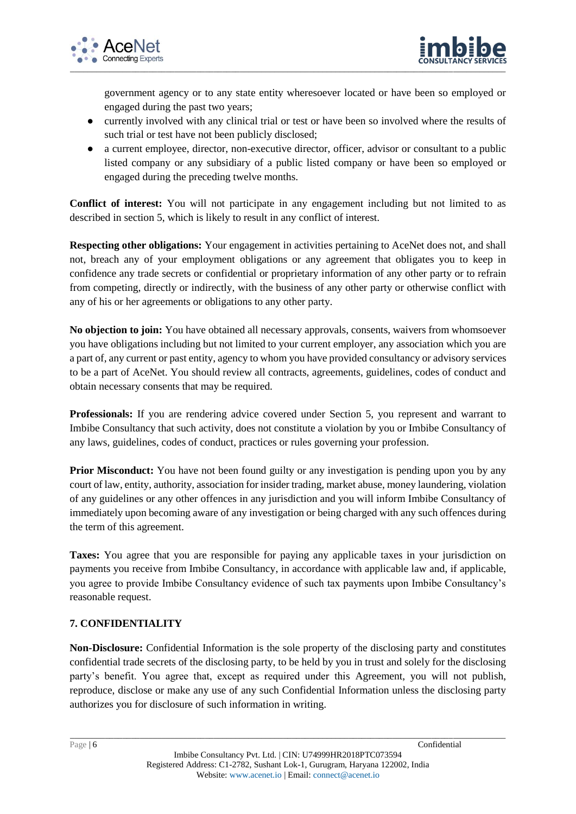



government agency or to any state entity wheresoever located or have been so employed or engaged during the past two years;

- currently involved with any clinical trial or test or have been so involved where the results of such trial or test have not been publicly disclosed;
- a current employee, director, non-executive director, officer, advisor or consultant to a public listed company or any subsidiary of a public listed company or have been so employed or engaged during the preceding twelve months.

**Conflict of interest:** You will not participate in any engagement including but not limited to as described in section 5, which is likely to result in any conflict of interest.

**Respecting other obligations:** Your engagement in activities pertaining to AceNet does not, and shall not, breach any of your employment obligations or any agreement that obligates you to keep in confidence any trade secrets or confidential or proprietary information of any other party or to refrain from competing, directly or indirectly, with the business of any other party or otherwise conflict with any of his or her agreements or obligations to any other party.

**No objection to join:** You have obtained all necessary approvals, consents, waivers from whomsoever you have obligations including but not limited to your current employer, any association which you are a part of, any current or past entity, agency to whom you have provided consultancy or advisory services to be a part of AceNet. You should review all contracts, agreements, guidelines, codes of conduct and obtain necessary consents that may be required.

**Professionals:** If you are rendering advice covered under Section 5, you represent and warrant to Imbibe Consultancy that such activity, does not constitute a violation by you or Imbibe Consultancy of any laws, guidelines, codes of conduct, practices or rules governing your profession.

**Prior Misconduct:** You have not been found guilty or any investigation is pending upon you by any court of law, entity, authority, association for insider trading, market abuse, money laundering, violation of any guidelines or any other offences in any jurisdiction and you will inform Imbibe Consultancy of immediately upon becoming aware of any investigation or being charged with any such offences during the term of this agreement.

**Taxes:** You agree that you are responsible for paying any applicable taxes in your jurisdiction on payments you receive from Imbibe Consultancy, in accordance with applicable law and, if applicable, you agree to provide Imbibe Consultancy evidence of such tax payments upon Imbibe Consultancy's reasonable request.

# **7. CONFIDENTIALITY**

**Non-Disclosure:** Confidential Information is the sole property of the disclosing party and constitutes confidential trade secrets of the disclosing party, to be held by you in trust and solely for the disclosing party's benefit. You agree that, except as required under this Agreement, you will not publish, reproduce, disclose or make any use of any such Confidential Information unless the disclosing party authorizes you for disclosure of such information in writing.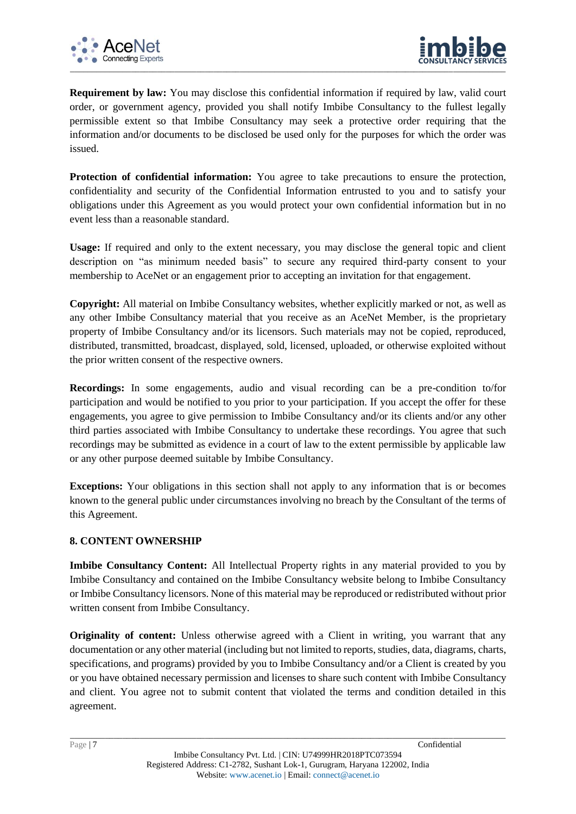



**Requirement by law:** You may disclose this confidential information if required by law, valid court order, or government agency, provided you shall notify Imbibe Consultancy to the fullest legally permissible extent so that Imbibe Consultancy may seek a protective order requiring that the information and/or documents to be disclosed be used only for the purposes for which the order was issued.

**Protection of confidential information:** You agree to take precautions to ensure the protection, confidentiality and security of the Confidential Information entrusted to you and to satisfy your obligations under this Agreement as you would protect your own confidential information but in no event less than a reasonable standard.

**Usage:** If required and only to the extent necessary, you may disclose the general topic and client description on "as minimum needed basis" to secure any required third-party consent to your membership to AceNet or an engagement prior to accepting an invitation for that engagement.

**Copyright:** All material on Imbibe Consultancy websites, whether explicitly marked or not, as well as any other Imbibe Consultancy material that you receive as an AceNet Member, is the proprietary property of Imbibe Consultancy and/or its licensors. Such materials may not be copied, reproduced, distributed, transmitted, broadcast, displayed, sold, licensed, uploaded, or otherwise exploited without the prior written consent of the respective owners.

**Recordings:** In some engagements, audio and visual recording can be a pre-condition to/for participation and would be notified to you prior to your participation. If you accept the offer for these engagements, you agree to give permission to Imbibe Consultancy and/or its clients and/or any other third parties associated with Imbibe Consultancy to undertake these recordings. You agree that such recordings may be submitted as evidence in a court of law to the extent permissible by applicable law or any other purpose deemed suitable by Imbibe Consultancy.

**Exceptions:** Your obligations in this section shall not apply to any information that is or becomes known to the general public under circumstances involving no breach by the Consultant of the terms of this Agreement.

### **8. CONTENT OWNERSHIP**

**Imbibe Consultancy Content:** All Intellectual Property rights in any material provided to you by Imbibe Consultancy and contained on the Imbibe Consultancy website belong to Imbibe Consultancy or Imbibe Consultancy licensors. None of this material may be reproduced or redistributed without prior written consent from Imbibe Consultancy.

**Originality of content:** Unless otherwise agreed with a Client in writing, you warrant that any documentation or any other material (including but not limited to reports, studies, data, diagrams, charts, specifications, and programs) provided by you to Imbibe Consultancy and/or a Client is created by you or you have obtained necessary permission and licenses to share such content with Imbibe Consultancy and client. You agree not to submit content that violated the terms and condition detailed in this agreement.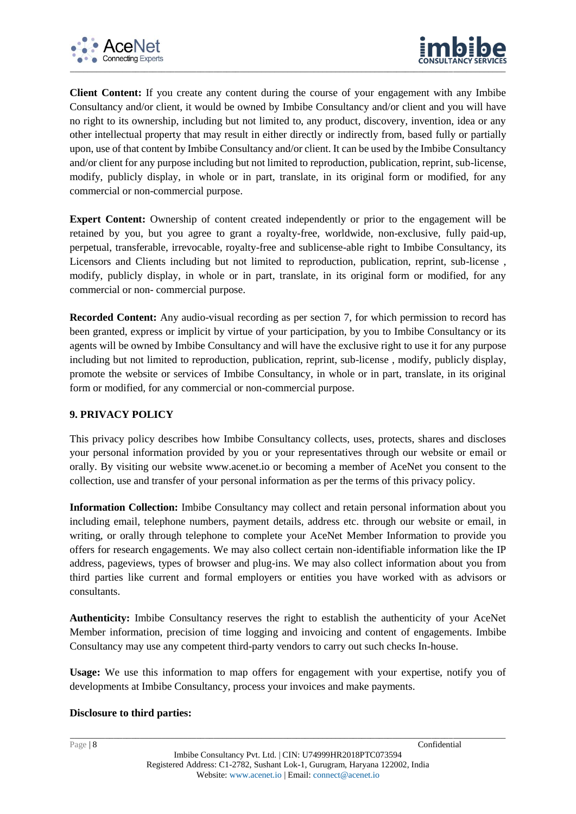



**Client Content:** If you create any content during the course of your engagement with any Imbibe Consultancy and/or client, it would be owned by Imbibe Consultancy and/or client and you will have no right to its ownership, including but not limited to, any product, discovery, invention, idea or any other intellectual property that may result in either directly or indirectly from, based fully or partially upon, use of that content by Imbibe Consultancy and/or client. It can be used by the Imbibe Consultancy and/or client for any purpose including but not limited to reproduction, publication, reprint, sub-license, modify, publicly display, in whole or in part, translate, in its original form or modified, for any commercial or non-commercial purpose.

**Expert Content:** Ownership of content created independently or prior to the engagement will be retained by you, but you agree to grant a royalty-free, worldwide, non-exclusive, fully paid-up, perpetual, transferable, irrevocable, royalty-free and sublicense-able right to Imbibe Consultancy, its Licensors and Clients including but not limited to reproduction, publication, reprint, sub-license , modify, publicly display, in whole or in part, translate, in its original form or modified, for any commercial or non- commercial purpose.

**Recorded Content:** Any audio-visual recording as per section 7, for which permission to record has been granted, express or implicit by virtue of your participation, by you to Imbibe Consultancy or its agents will be owned by Imbibe Consultancy and will have the exclusive right to use it for any purpose including but not limited to reproduction, publication, reprint, sub-license , modify, publicly display, promote the website or services of Imbibe Consultancy, in whole or in part, translate, in its original form or modified, for any commercial or non-commercial purpose.

### **9. PRIVACY POLICY**

This privacy policy describes how Imbibe Consultancy collects, uses, protects, shares and discloses your personal information provided by you or your representatives through our website or email or orally. By visiting our website [www.acenet.io](http://www.acenet.io/) or becoming a member of AceNet you consent to the collection, use and transfer of your personal information as per the terms of this privacy policy.

**Information Collection:** Imbibe Consultancy may collect and retain personal information about you including email, telephone numbers, payment details, address etc. through our website or email, in writing, or orally through telephone to complete your AceNet Member Information to provide you offers for research engagements. We may also collect certain non-identifiable information like the IP address, pageviews, types of browser and plug-ins. We may also collect information about you from third parties like current and formal employers or entities you have worked with as advisors or consultants.

**Authenticity:** Imbibe Consultancy reserves the right to establish the authenticity of your AceNet Member information, precision of time logging and invoicing and content of engagements. Imbibe Consultancy may use any competent third-party vendors to carry out such checks In-house.

**Usage:** We use this information to map offers for engagement with your expertise, notify you of developments at Imbibe Consultancy, process your invoices and make payments.

### **Disclosure to third parties:**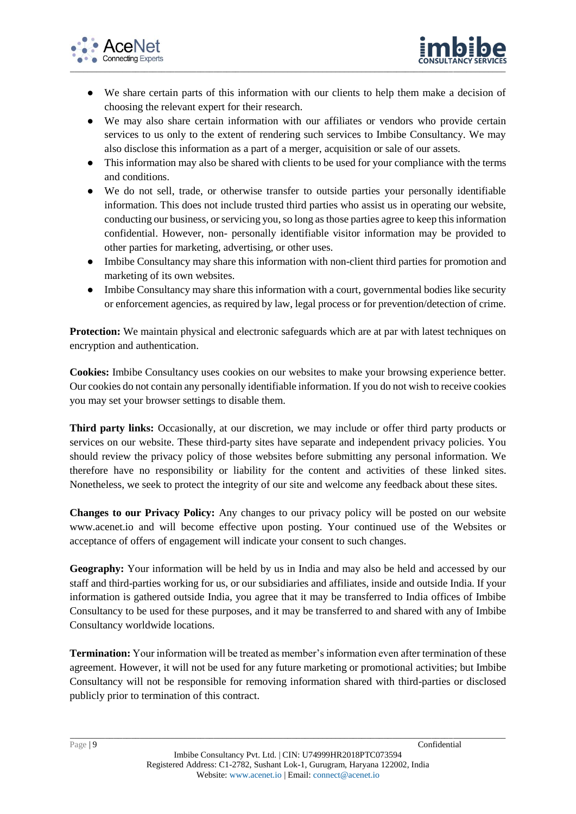



- We share certain parts of this information with our clients to help them make a decision of choosing the relevant expert for their research.
- We may also share certain information with our affiliates or vendors who provide certain services to us only to the extent of rendering such services to Imbibe Consultancy. We may also disclose this information as a part of a merger, acquisition or sale of our assets.
- This information may also be shared with clients to be used for your compliance with the terms and conditions.
- We do not sell, trade, or otherwise transfer to outside parties your personally identifiable information. This does not include trusted third parties who assist us in operating our website, conducting our business, or servicing you, so long as those parties agree to keep this information confidential. However, non- personally identifiable visitor information may be provided to other parties for marketing, advertising, or other uses.
- Imbibe Consultancy may share this information with non-client third parties for promotion and marketing of its own websites.
- Imbibe Consultancy may share this information with a court, governmental bodies like security or enforcement agencies, as required by law, legal process or for prevention/detection of crime.

**Protection:** We maintain physical and electronic safeguards which are at par with latest techniques on encryption and authentication.

**Cookies:** Imbibe Consultancy uses cookies on our websites to make your browsing experience better. Our cookies do not contain any personally identifiable information. If you do not wish to receive cookies you may set your browser settings to disable them.

**Third party links:** Occasionally, at our discretion, we may include or offer third party products or services on our website. These third-party sites have separate and independent privacy policies. You should review the privacy policy of those websites before submitting any personal information. We therefore have no responsibility or liability for the content and activities of these linked sites. Nonetheless, we seek to protect the integrity of our site and welcome any feedback about these sites.

**Changes to our Privacy Policy:** Any changes to our privacy policy will be posted on our website www.acenet.io and will become effective upon posting. Your continued use of the Websites or acceptance of offers of engagement will indicate your consent to such changes.

**Geography:** Your information will be held by us in India and may also be held and accessed by our staff and third-parties working for us, or our subsidiaries and affiliates, inside and outside India. If your information is gathered outside India, you agree that it may be transferred to India offices of Imbibe Consultancy to be used for these purposes, and it may be transferred to and shared with any of Imbibe Consultancy worldwide locations.

**Termination:** Your information will be treated as member's information even after termination of these agreement. However, it will not be used for any future marketing or promotional activities; but Imbibe Consultancy will not be responsible for removing information shared with third-parties or disclosed publicly prior to termination of this contract.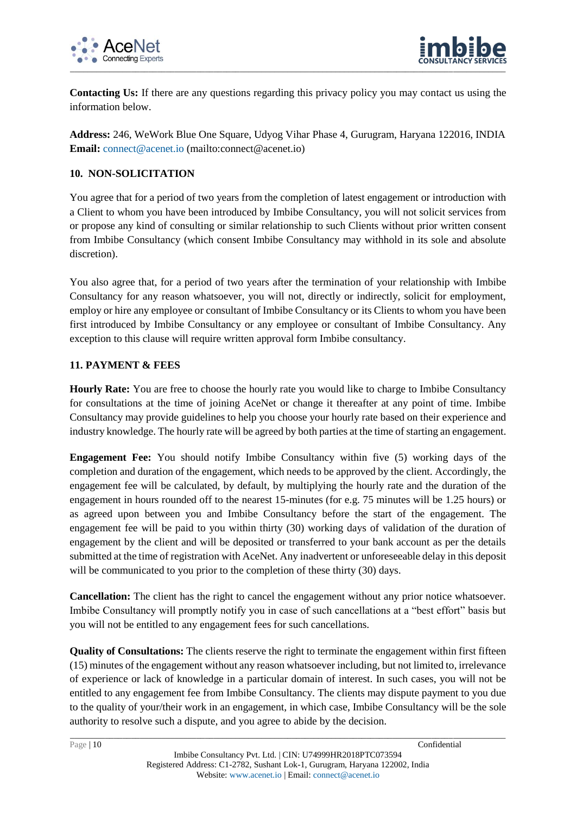



**Contacting Us:** If there are any questions regarding this privacy policy you may contact us using the information below.

**Address:** 246, WeWork Blue One Square, Udyog Vihar Phase 4, Gurugram, Haryana 122016, INDIA **Email:** [connect@acenet.io](mailto:network@acenet.io) (mailto:connect@acenet.io)

#### **10. NON-SOLICITATION**

You agree that for a period of two years from the completion of latest engagement or introduction with a Client to whom you have been introduced by Imbibe Consultancy, you will not solicit services from or propose any kind of consulting or similar relationship to such Clients without prior written consent from Imbibe Consultancy (which consent Imbibe Consultancy may withhold in its sole and absolute discretion).

You also agree that, for a period of two years after the termination of your relationship with Imbibe Consultancy for any reason whatsoever, you will not, directly or indirectly, solicit for employment, employ or hire any employee or consultant of Imbibe Consultancy or its Clients to whom you have been first introduced by Imbibe Consultancy or any employee or consultant of Imbibe Consultancy. Any exception to this clause will require written approval form Imbibe consultancy.

#### **11. PAYMENT & FEES**

**Hourly Rate:** You are free to choose the hourly rate you would like to charge to Imbibe Consultancy for consultations at the time of joining AceNet or change it thereafter at any point of time. Imbibe Consultancy may provide guidelines to help you choose your hourly rate based on their experience and industry knowledge. The hourly rate will be agreed by both parties at the time of starting an engagement.

**Engagement Fee:** You should notify Imbibe Consultancy within five (5) working days of the completion and duration of the engagement, which needs to be approved by the client. Accordingly, the engagement fee will be calculated, by default, by multiplying the hourly rate and the duration of the engagement in hours rounded off to the nearest 15-minutes (for e.g. 75 minutes will be 1.25 hours) or as agreed upon between you and Imbibe Consultancy before the start of the engagement. The engagement fee will be paid to you within thirty (30) working days of validation of the duration of engagement by the client and will be deposited or transferred to your bank account as per the details submitted at the time of registration with AceNet. Any inadvertent or unforeseeable delay in this deposit will be communicated to you prior to the completion of these thirty (30) days.

**Cancellation:** The client has the right to cancel the engagement without any prior notice whatsoever. Imbibe Consultancy will promptly notify you in case of such cancellations at a "best effort" basis but you will not be entitled to any engagement fees for such cancellations.

**Quality of Consultations:** The clients reserve the right to terminate the engagement within first fifteen (15) minutes of the engagement without any reason whatsoever including, but not limited to, irrelevance of experience or lack of knowledge in a particular domain of interest. In such cases, you will not be entitled to any engagement fee from Imbibe Consultancy. The clients may dispute payment to you due to the quality of your/their work in an engagement, in which case, Imbibe Consultancy will be the sole authority to resolve such a dispute, and you agree to abide by the decision.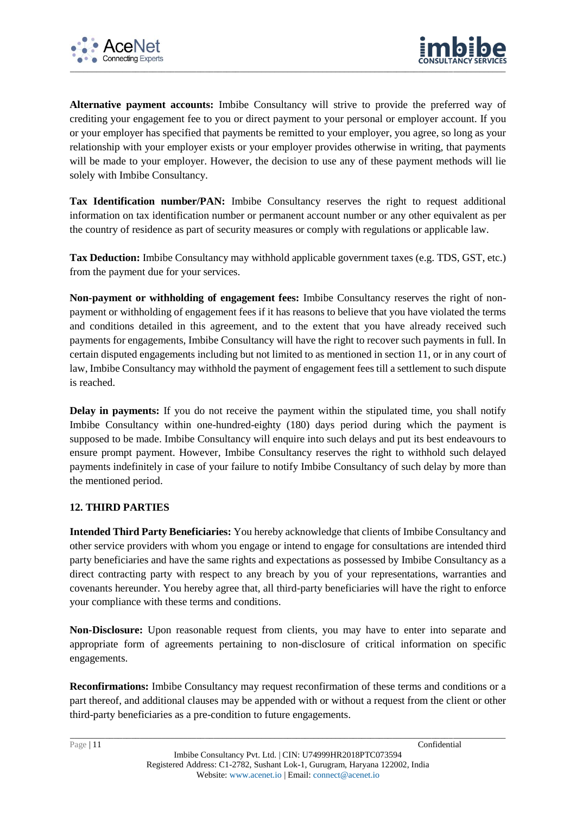



**Alternative payment accounts:** Imbibe Consultancy will strive to provide the preferred way of crediting your engagement fee to you or direct payment to your personal or employer account. If you or your employer has specified that payments be remitted to your employer, you agree, so long as your relationship with your employer exists or your employer provides otherwise in writing, that payments will be made to your employer. However, the decision to use any of these payment methods will lie solely with Imbibe Consultancy.

Tax Identification number/PAN: Imbibe Consultancy reserves the right to request additional information on tax identification number or permanent account number or any other equivalent as per the country of residence as part of security measures or comply with regulations or applicable law.

**Tax Deduction:** Imbibe Consultancy may withhold applicable government taxes (e.g. TDS, GST, etc.) from the payment due for your services.

**Non-payment or withholding of engagement fees:** Imbibe Consultancy reserves the right of nonpayment or withholding of engagement fees if it has reasons to believe that you have violated the terms and conditions detailed in this agreement, and to the extent that you have already received such payments for engagements, Imbibe Consultancy will have the right to recover such payments in full. In certain disputed engagements including but not limited to as mentioned in section 11, or in any court of law, Imbibe Consultancy may withhold the payment of engagement fees till a settlement to such dispute is reached.

**Delay in payments:** If you do not receive the payment within the stipulated time, you shall notify Imbibe Consultancy within one-hundred-eighty (180) days period during which the payment is supposed to be made. Imbibe Consultancy will enquire into such delays and put its best endeavours to ensure prompt payment. However, Imbibe Consultancy reserves the right to withhold such delayed payments indefinitely in case of your failure to notify Imbibe Consultancy of such delay by more than the mentioned period.

### **12. THIRD PARTIES**

**Intended Third Party Beneficiaries:** You hereby acknowledge that clients of Imbibe Consultancy and other service providers with whom you engage or intend to engage for consultations are intended third party beneficiaries and have the same rights and expectations as possessed by Imbibe Consultancy as a direct contracting party with respect to any breach by you of your representations, warranties and covenants hereunder. You hereby agree that, all third-party beneficiaries will have the right to enforce your compliance with these terms and conditions.

**Non-Disclosure:** Upon reasonable request from clients, you may have to enter into separate and appropriate form of agreements pertaining to non-disclosure of critical information on specific engagements.

**Reconfirmations:** Imbibe Consultancy may request reconfirmation of these terms and conditions or a part thereof, and additional clauses may be appended with or without a request from the client or other third-party beneficiaries as a pre-condition to future engagements.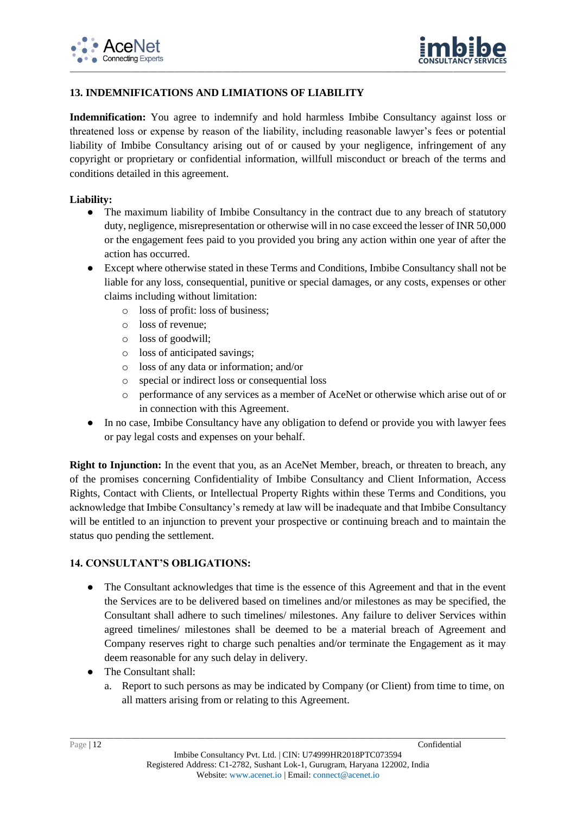



## **13. INDEMNIFICATIONS AND LIMIATIONS OF LIABILITY**

**Indemnification:** You agree to indemnify and hold harmless Imbibe Consultancy against loss or threatened loss or expense by reason of the liability, including reasonable lawyer's fees or potential liability of Imbibe Consultancy arising out of or caused by your negligence, infringement of any copyright or proprietary or confidential information, willfull misconduct or breach of the terms and conditions detailed in this agreement.

#### **Liability:**

- The maximum liability of Imbibe Consultancy in the contract due to any breach of statutory duty, negligence, misrepresentation or otherwise will in no case exceed the lesser of INR 50,000 or the engagement fees paid to you provided you bring any action within one year of after the action has occurred.
- Except where otherwise stated in these Terms and Conditions, Imbibe Consultancy shall not be liable for any loss, consequential, punitive or special damages, or any costs, expenses or other claims including without limitation:
	- o loss of profit: loss of business;
	- o loss of revenue;
	- o loss of goodwill;
	- o loss of anticipated savings;
	- o loss of any data or information; and/or
	- o special or indirect loss or consequential loss
	- o performance of any services as a member of AceNet or otherwise which arise out of or in connection with this Agreement.
- In no case, Imbibe Consultancy have any obligation to defend or provide you with lawyer fees or pay legal costs and expenses on your behalf.

**Right to Injunction:** In the event that you, as an AceNet Member, breach, or threaten to breach, any of the promises concerning Confidentiality of Imbibe Consultancy and Client Information, Access Rights, Contact with Clients, or Intellectual Property Rights within these Terms and Conditions, you acknowledge that Imbibe Consultancy's remedy at law will be inadequate and that Imbibe Consultancy will be entitled to an injunction to prevent your prospective or continuing breach and to maintain the status quo pending the settlement.

### **14. CONSULTANT'S OBLIGATIONS:**

- The Consultant acknowledges that time is the essence of this Agreement and that in the event the Services are to be delivered based on timelines and/or milestones as may be specified, the Consultant shall adhere to such timelines/ milestones. Any failure to deliver Services within agreed timelines/ milestones shall be deemed to be a material breach of Agreement and Company reserves right to charge such penalties and/or terminate the Engagement as it may deem reasonable for any such delay in delivery.
- The Consultant shall:
	- a. Report to such persons as may be indicated by Company (or Client) from time to time, on all matters arising from or relating to this Agreement.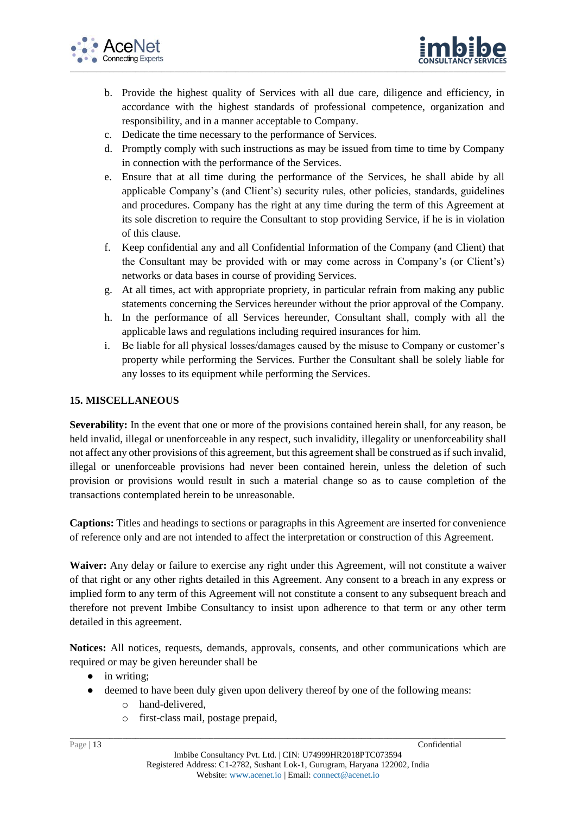



- b. Provide the highest quality of Services with all due care, diligence and efficiency, in accordance with the highest standards of professional competence, organization and responsibility, and in a manner acceptable to Company.
- c. Dedicate the time necessary to the performance of Services.
- d. Promptly comply with such instructions as may be issued from time to time by Company in connection with the performance of the Services.
- e. Ensure that at all time during the performance of the Services, he shall abide by all applicable Company's (and Client's) security rules, other policies, standards, guidelines and procedures. Company has the right at any time during the term of this Agreement at its sole discretion to require the Consultant to stop providing Service, if he is in violation of this clause.
- f. Keep confidential any and all Confidential Information of the Company (and Client) that the Consultant may be provided with or may come across in Company's (or Client's) networks or data bases in course of providing Services.
- g. At all times, act with appropriate propriety, in particular refrain from making any public statements concerning the Services hereunder without the prior approval of the Company.
- h. In the performance of all Services hereunder, Consultant shall, comply with all the applicable laws and regulations including required insurances for him.
- i. Be liable for all physical losses/damages caused by the misuse to Company or customer's property while performing the Services. Further the Consultant shall be solely liable for any losses to its equipment while performing the Services.

### **15. MISCELLANEOUS**

**Severability:** In the event that one or more of the provisions contained herein shall, for any reason, be held invalid, illegal or unenforceable in any respect, such invalidity, illegality or unenforceability shall not affect any other provisions of this agreement, but this agreement shall be construed as if such invalid, illegal or unenforceable provisions had never been contained herein, unless the deletion of such provision or provisions would result in such a material change so as to cause completion of the transactions contemplated herein to be unreasonable.

**Captions:** Titles and headings to sections or paragraphs in this Agreement are inserted for convenience of reference only and are not intended to affect the interpretation or construction of this Agreement.

**Waiver:** Any delay or failure to exercise any right under this Agreement, will not constitute a waiver of that right or any other rights detailed in this Agreement. Any consent to a breach in any express or implied form to any term of this Agreement will not constitute a consent to any subsequent breach and therefore not prevent Imbibe Consultancy to insist upon adherence to that term or any other term detailed in this agreement.

**Notices:** All notices, requests, demands, approvals, consents, and other communications which are required or may be given hereunder shall be

- in writing;
- deemed to have been duly given upon delivery thereof by one of the following means:
	- o hand-delivered,
	- o first-class mail, postage prepaid,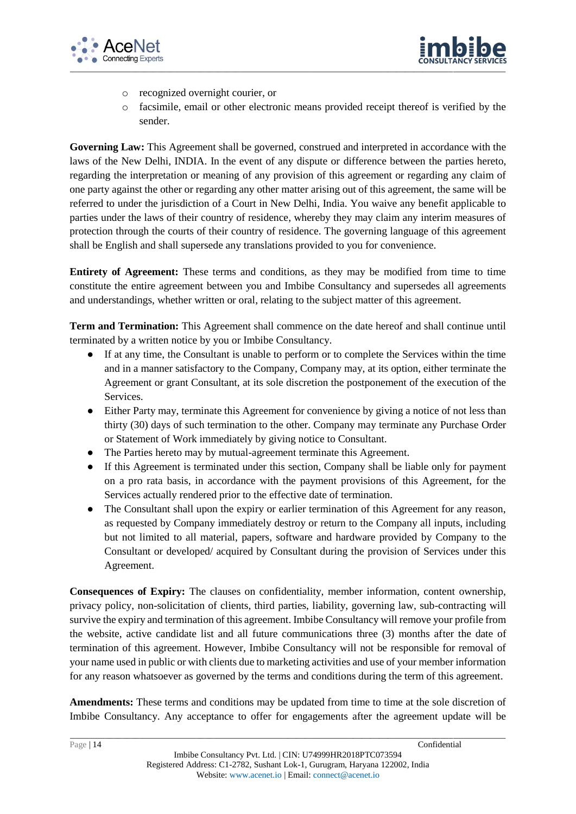



- o recognized overnight courier, or
- o facsimile, email or other electronic means provided receipt thereof is verified by the sender.

**Governing Law:** This Agreement shall be governed, construed and interpreted in accordance with the laws of the New Delhi, INDIA. In the event of any dispute or difference between the parties hereto, regarding the interpretation or meaning of any provision of this agreement or regarding any claim of one party against the other or regarding any other matter arising out of this agreement, the same will be referred to under the jurisdiction of a Court in New Delhi, India. You waive any benefit applicable to parties under the laws of their country of residence, whereby they may claim any interim measures of protection through the courts of their country of residence. The governing language of this agreement shall be English and shall supersede any translations provided to you for convenience.

**Entirety of Agreement:** These terms and conditions, as they may be modified from time to time constitute the entire agreement between you and Imbibe Consultancy and supersedes all agreements and understandings, whether written or oral, relating to the subject matter of this agreement.

**Term and Termination:** This Agreement shall commence on the date hereof and shall continue until terminated by a written notice by you or Imbibe Consultancy.

- If at any time, the Consultant is unable to perform or to complete the Services within the time and in a manner satisfactory to the Company, Company may, at its option, either terminate the Agreement or grant Consultant, at its sole discretion the postponement of the execution of the Services.
- Either Party may, terminate this Agreement for convenience by giving a notice of not less than thirty (30) days of such termination to the other. Company may terminate any Purchase Order or Statement of Work immediately by giving notice to Consultant.
- The Parties hereto may by mutual-agreement terminate this Agreement.
- If this Agreement is terminated under this section, Company shall be liable only for payment on a pro rata basis, in accordance with the payment provisions of this Agreement, for the Services actually rendered prior to the effective date of termination.
- The Consultant shall upon the expiry or earlier termination of this Agreement for any reason, as requested by Company immediately destroy or return to the Company all inputs, including but not limited to all material, papers, software and hardware provided by Company to the Consultant or developed/ acquired by Consultant during the provision of Services under this Agreement.

**Consequences of Expiry:** The clauses on confidentiality, member information, content ownership, privacy policy, non-solicitation of clients, third parties, liability, governing law, sub-contracting will survive the expiry and termination of this agreement. Imbibe Consultancy will remove your profile from the website, active candidate list and all future communications three (3) months after the date of termination of this agreement. However, Imbibe Consultancy will not be responsible for removal of your name used in public or with clients due to marketing activities and use of your member information for any reason whatsoever as governed by the terms and conditions during the term of this agreement.

**Amendments:** These terms and conditions may be updated from time to time at the sole discretion of Imbibe Consultancy. Any acceptance to offer for engagements after the agreement update will be